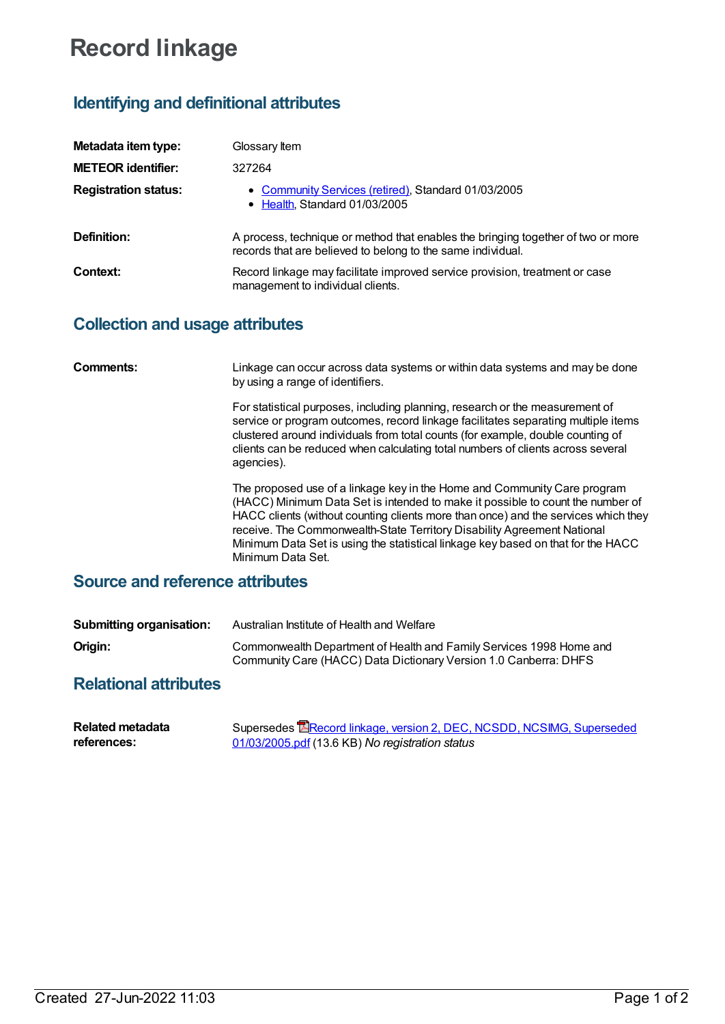# **Record linkage**

# **Identifying and definitional attributes**

| Metadata item type:         | Glossary Item                                                                                                                                   |
|-----------------------------|-------------------------------------------------------------------------------------------------------------------------------------------------|
| <b>METEOR identifier:</b>   | 327264                                                                                                                                          |
| <b>Registration status:</b> | • Community Services (retired), Standard 01/03/2005<br>• Health, Standard 01/03/2005                                                            |
| Definition:                 | A process, technique or method that enables the bringing together of two or more<br>records that are believed to belong to the same individual. |
| Context:                    | Record linkage may facilitate improved service provision, treatment or case<br>management to individual clients.                                |

## **Collection and usage attributes**

| Comments:                       | Linkage can occur across data systems or within data systems and may be done<br>by using a range of identifiers.                                                                                                                                                                                                                                                                                                                     |  |
|---------------------------------|--------------------------------------------------------------------------------------------------------------------------------------------------------------------------------------------------------------------------------------------------------------------------------------------------------------------------------------------------------------------------------------------------------------------------------------|--|
|                                 | For statistical purposes, including planning, research or the measurement of<br>service or program outcomes, record linkage facilitates separating multiple items<br>clustered around individuals from total counts (for example, double counting of<br>clients can be reduced when calculating total numbers of clients across several<br>agencies).                                                                                |  |
|                                 | The proposed use of a linkage key in the Home and Community Care program<br>(HACC) Minimum Data Set is intended to make it possible to count the number of<br>HACC clients (without counting clients more than once) and the services which they<br>receive. The Commonwealth-State Territory Disability Agreement National<br>Minimum Data Set is using the statistical linkage key based on that for the HACC<br>Minimum Data Set. |  |
| Source and reference attributes |                                                                                                                                                                                                                                                                                                                                                                                                                                      |  |

### **Source and reference attributes**

| <b>Submitting organisation:</b> | Australian Institute of Health and Welfare                                                                                              |
|---------------------------------|-----------------------------------------------------------------------------------------------------------------------------------------|
| Origin:                         | Commonwealth Department of Health and Family Services 1998 Home and<br>Community Care (HACC) Data Dictionary Version 1.0 Canberra: DHFS |

### **Relational attributes**

| <b>Related metadata</b> | Supersedes <b>E</b> Record linkage, version 2, DEC, NCSDD, NCSIMG, Superseded |
|-------------------------|-------------------------------------------------------------------------------|
| references:             | 01/03/2005.pdf (13.6 KB) No registration status                               |